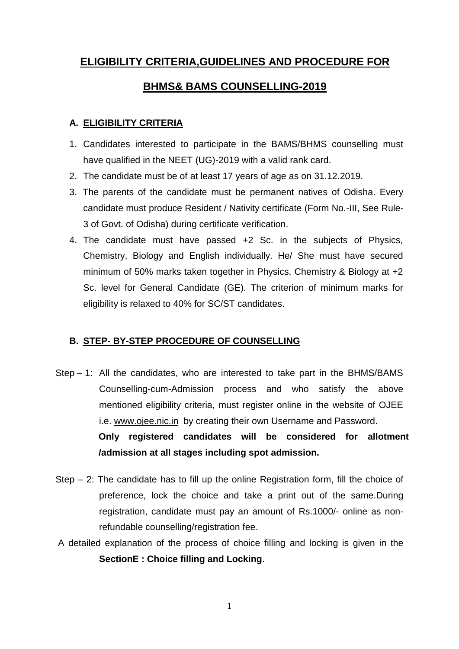# **ELIGIBILITY CRITERIA,GUIDELINES AND PROCEDURE FOR**

# **BHMS& BAMS COUNSELLING-2019**

# **A. ELIGIBILITY CRITERIA**

- 1. Candidates interested to participate in the BAMS/BHMS counselling must have qualified in the NEET (UG)-2019 with a valid rank card.
- 2. The candidate must be of at least 17 years of age as on 31.12.2019.
- 3. The parents of the candidate must be permanent natives of Odisha. Every candidate must produce Resident / Nativity certificate (Form No.-III, See Rule-3 of Govt. of Odisha) during certificate verification.
- 4. The candidate must have passed +2 Sc. in the subjects of Physics, Chemistry, Biology and English individually. He/ She must have secured minimum of 50% marks taken together in Physics, Chemistry & Biology at +2 Sc. level for General Candidate (GE). The criterion of minimum marks for eligibility is relaxed to 40% for SC/ST candidates.

# **B. STEP- BY-STEP PROCEDURE OF COUNSELLING**

- Step 1: All the candidates, who are interested to take part in the BHMS/BAMS Counselling-cum-Admission process and who satisfy the above mentioned eligibility criteria, must register online in the website of OJEE i.e. [www.ojee.nic.in](http://www.ojee.nic.in/) by creating their own Username and Password. **Only registered candidates will be considered for allotment /admission at all stages including spot admission.**
- Step 2: The candidate has to fill up the online Registration form, fill the choice of preference, lock the choice and take a print out of the same.During registration, candidate must pay an amount of Rs.1000/- online as nonrefundable counselling/registration fee.
- A detailed explanation of the process of choice filling and locking is given in the **SectionE : Choice filling and Locking**.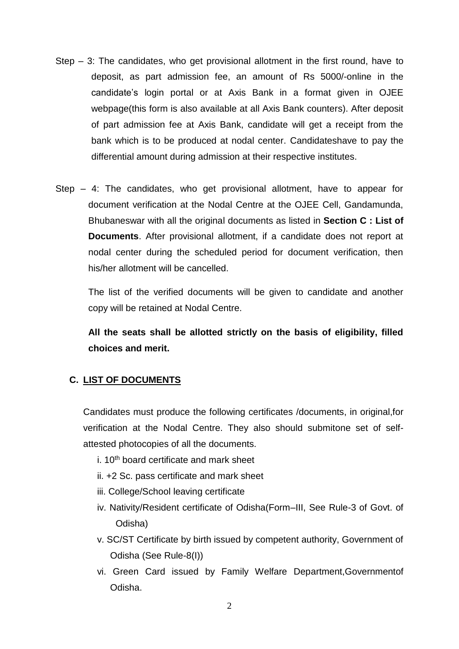- Step 3: The candidates, who get provisional allotment in the first round, have to deposit, as part admission fee, an amount of Rs 5000/-online in the candidate's login portal or at Axis Bank in a format given in OJEE webpage(this form is also available at all Axis Bank counters). After deposit of part admission fee at Axis Bank, candidate will get a receipt from the bank which is to be produced at nodal center. Candidateshave to pay the differential amount during admission at their respective institutes.
- Step 4: The candidates, who get provisional allotment, have to appear for document verification at the Nodal Centre at the OJEE Cell, Gandamunda, Bhubaneswar with all the original documents as listed in **Section C : List of Documents**. After provisional allotment, if a candidate does not report at nodal center during the scheduled period for document verification, then his/her allotment will be cancelled.

The list of the verified documents will be given to candidate and another copy will be retained at Nodal Centre.

**All the seats shall be allotted strictly on the basis of eligibility, filled choices and merit.**

#### **C. LIST OF DOCUMENTS**

Candidates must produce the following certificates /documents, in original,for verification at the Nodal Centre. They also should submitone set of selfattested photocopies of all the documents.

- $i$ . 10<sup>th</sup> board certificate and mark sheet
- ii. +2 Sc. pass certificate and mark sheet
- iii. College/School leaving certificate
- iv. Nativity/Resident certificate of Odisha(Form–III, See Rule-3 of Govt. of Odisha)
- v. SC/ST Certificate by birth issued by competent authority, Government of Odisha (See Rule-8(I))
- vi. Green Card issued by Family Welfare Department,Governmentof Odisha.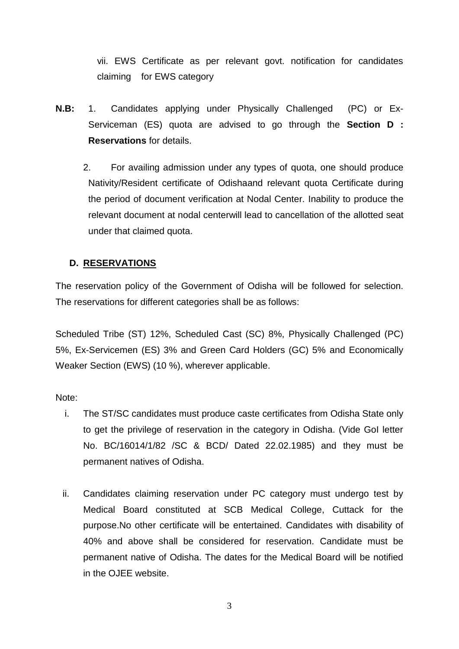vii. EWS Certificate as per relevant govt. notification for candidates claiming for EWS category

- **N.B:** 1. Candidates applying under Physically Challenged (PC) or Ex-Serviceman (ES) quota are advised to go through the **Section D : Reservations** for details.
	- 2. For availing admission under any types of quota, one should produce Nativity/Resident certificate of Odishaand relevant quota Certificate during the period of document verification at Nodal Center. Inability to produce the relevant document at nodal centerwill lead to cancellation of the allotted seat under that claimed quota.

# **D. RESERVATIONS**

The reservation policy of the Government of Odisha will be followed for selection. The reservations for different categories shall be as follows:

Scheduled Tribe (ST) 12%, Scheduled Cast (SC) 8%, Physically Challenged (PC) 5%, Ex-Servicemen (ES) 3% and Green Card Holders (GC) 5% and Economically Weaker Section (EWS) (10 %), wherever applicable.

Note:

- i. The ST/SC candidates must produce caste certificates from Odisha State only to get the privilege of reservation in the category in Odisha. (Vide GoI letter No. BC/16014/1/82 /SC & BCD/ Dated 22.02.1985) and they must be permanent natives of Odisha.
- ii. Candidates claiming reservation under PC category must undergo test by Medical Board constituted at SCB Medical College, Cuttack for the purpose.No other certificate will be entertained. Candidates with disability of 40% and above shall be considered for reservation. Candidate must be permanent native of Odisha. The dates for the Medical Board will be notified in the OJEE website.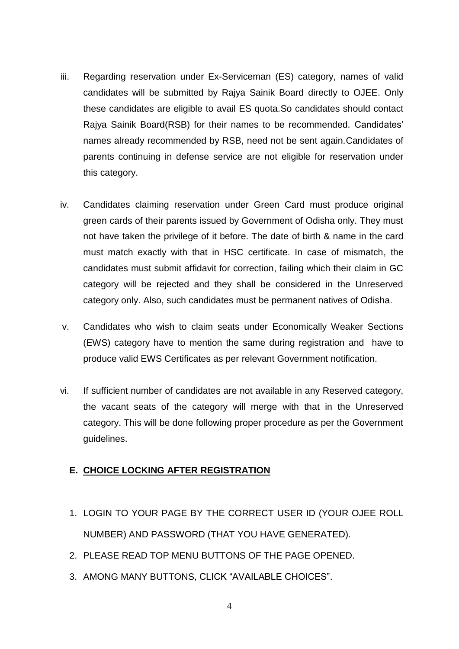- iii. Regarding reservation under Ex-Serviceman (ES) category, names of valid candidates will be submitted by Rajya Sainik Board directly to OJEE. Only these candidates are eligible to avail ES quota.So candidates should contact Rajya Sainik Board(RSB) for their names to be recommended. Candidates' names already recommended by RSB, need not be sent again.Candidates of parents continuing in defense service are not eligible for reservation under this category.
- iv. Candidates claiming reservation under Green Card must produce original green cards of their parents issued by Government of Odisha only. They must not have taken the privilege of it before. The date of birth & name in the card must match exactly with that in HSC certificate. In case of mismatch, the candidates must submit affidavit for correction, failing which their claim in GC category will be rejected and they shall be considered in the Unreserved category only. Also, such candidates must be permanent natives of Odisha.
- v. Candidates who wish to claim seats under Economically Weaker Sections (EWS) category have to mention the same during registration and have to produce valid EWS Certificates as per relevant Government notification.
- vi. If sufficient number of candidates are not available in any Reserved category, the vacant seats of the category will merge with that in the Unreserved category. This will be done following proper procedure as per the Government guidelines.

# **E. CHOICE LOCKING AFTER REGISTRATION**

- 1. LOGIN TO YOUR PAGE BY THE CORRECT USER ID (YOUR OJEE ROLL NUMBER) AND PASSWORD (THAT YOU HAVE GENERATED).
- 2. PLEASE READ TOP MENU BUTTONS OF THE PAGE OPENED.
- 3. AMONG MANY BUTTONS, CLICK "AVAILABLE CHOICES".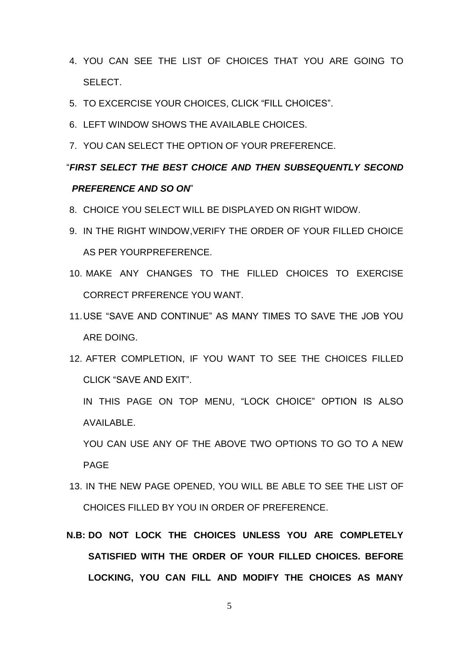- 4. YOU CAN SEE THE LIST OF CHOICES THAT YOU ARE GOING TO SELECT.
- 5. TO EXCERCISE YOUR CHOICES, CLICK "FILL CHOICES".
- 6. LEFT WINDOW SHOWS THE AVAILABLE CHOICES.
- 7. YOU CAN SELECT THE OPTION OF YOUR PREFERENCE.

# "*FIRST SELECT THE BEST CHOICE AND THEN SUBSEQUENTLY SECOND PREFERENCE AND SO ON*"

- 8. CHOICE YOU SELECT WILL BE DISPLAYED ON RIGHT WIDOW.
- 9. IN THE RIGHT WINDOW,VERIFY THE ORDER OF YOUR FILLED CHOICE AS PER YOURPREFERENCE.
- 10. MAKE ANY CHANGES TO THE FILLED CHOICES TO EXERCISE CORRECT PRFERENCE YOU WANT.
- 11.USE "SAVE AND CONTINUE" AS MANY TIMES TO SAVE THE JOB YOU ARE DOING.
- 12. AFTER COMPLETION, IF YOU WANT TO SEE THE CHOICES FILLED CLICK "SAVE AND EXIT".

IN THIS PAGE ON TOP MENU, "LOCK CHOICE" OPTION IS ALSO AVAILABLE.

YOU CAN USE ANY OF THE ABOVE TWO OPTIONS TO GO TO A NEW PAGE

- 13. IN THE NEW PAGE OPENED, YOU WILL BE ABLE TO SEE THE LIST OF CHOICES FILLED BY YOU IN ORDER OF PREFERENCE.
- **N.B: DO NOT LOCK THE CHOICES UNLESS YOU ARE COMPLETELY SATISFIED WITH THE ORDER OF YOUR FILLED CHOICES. BEFORE LOCKING, YOU CAN FILL AND MODIFY THE CHOICES AS MANY**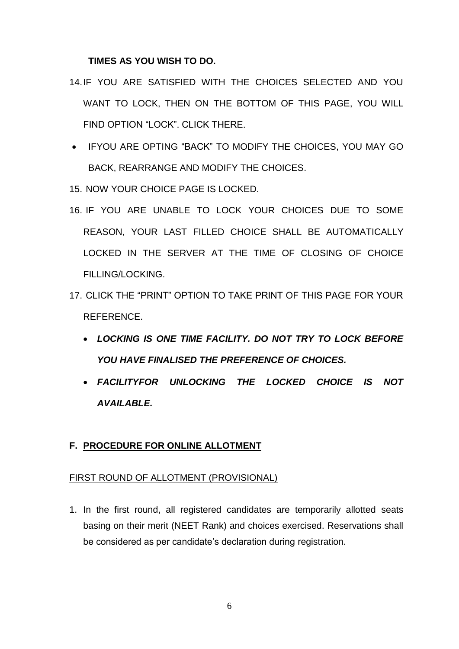#### **TIMES AS YOU WISH TO DO.**

- 14.IF YOU ARE SATISFIED WITH THE CHOICES SELECTED AND YOU WANT TO LOCK, THEN ON THE BOTTOM OF THIS PAGE, YOU WILL FIND OPTION "LOCK". CLICK THERE.
- IFYOU ARE OPTING "BACK" TO MODIFY THE CHOICES, YOU MAY GO BACK, REARRANGE AND MODIFY THE CHOICES.

15. NOW YOUR CHOICE PAGE IS LOCKED.

- 16. IF YOU ARE UNABLE TO LOCK YOUR CHOICES DUE TO SOME REASON, YOUR LAST FILLED CHOICE SHALL BE AUTOMATICALLY LOCKED IN THE SERVER AT THE TIME OF CLOSING OF CHOICE FILLING/LOCKING.
- 17. CLICK THE "PRINT" OPTION TO TAKE PRINT OF THIS PAGE FOR YOUR REFERENCE.
	- *LOCKING IS ONE TIME FACILITY. DO NOT TRY TO LOCK BEFORE YOU HAVE FINALISED THE PREFERENCE OF CHOICES.*
	- *FACILITYFOR UNLOCKING THE LOCKED CHOICE IS NOT AVAILABLE.*

#### **F. PROCEDURE FOR ONLINE ALLOTMENT**

#### FIRST ROUND OF ALLOTMENT (PROVISIONAL)

1. In the first round, all registered candidates are temporarily allotted seats basing on their merit (NEET Rank) and choices exercised. Reservations shall be considered as per candidate's declaration during registration.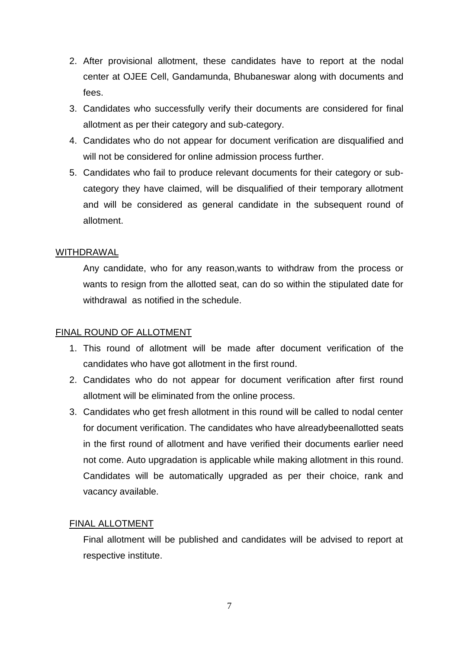- 2. After provisional allotment, these candidates have to report at the nodal center at OJEE Cell, Gandamunda, Bhubaneswar along with documents and fees.
- 3. Candidates who successfully verify their documents are considered for final allotment as per their category and sub-category.
- 4. Candidates who do not appear for document verification are disqualified and will not be considered for online admission process further.
- 5. Candidates who fail to produce relevant documents for their category or subcategory they have claimed, will be disqualified of their temporary allotment and will be considered as general candidate in the subsequent round of allotment.

#### WITHDRAWAL

Any candidate, who for any reason,wants to withdraw from the process or wants to resign from the allotted seat, can do so within the stipulated date for withdrawal as notified in the schedule.

# FINAL ROUND OF ALLOTMENT

- 1. This round of allotment will be made after document verification of the candidates who have got allotment in the first round.
- 2. Candidates who do not appear for document verification after first round allotment will be eliminated from the online process.
- 3. Candidates who get fresh allotment in this round will be called to nodal center for document verification. The candidates who have alreadybeenallotted seats in the first round of allotment and have verified their documents earlier need not come. Auto upgradation is applicable while making allotment in this round. Candidates will be automatically upgraded as per their choice, rank and vacancy available.

# FINAL ALLOTMENT

Final allotment will be published and candidates will be advised to report at respective institute.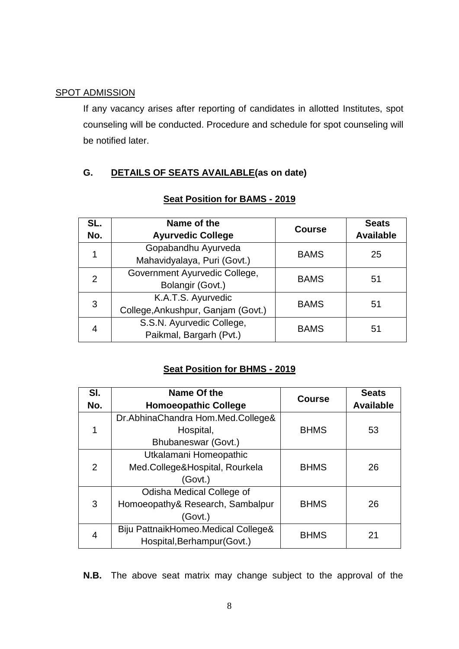#### SPOT ADMISSION

If any vacancy arises after reporting of candidates in allotted Institutes, spot counseling will be conducted. Procedure and schedule for spot counseling will be notified later.

# **G. DETAILS OF SEATS AVAILABLE(as on date)**

| SL.<br>No.    | Name of the<br><b>Ayurvedic College</b>                  | <b>Course</b> | <b>Seats</b><br><b>Available</b> |
|---------------|----------------------------------------------------------|---------------|----------------------------------|
|               | Gopabandhu Ayurveda<br>Mahavidyalaya, Puri (Govt.)       | <b>BAMS</b>   | 25                               |
| $\mathcal{P}$ | Government Ayurvedic College,<br>Bolangir (Govt.)        | <b>BAMS</b>   | 51                               |
| 3             | K.A.T.S. Ayurvedic<br>College, Ankushpur, Ganjam (Govt.) | <b>BAMS</b>   | 51                               |
| 4             | S.S.N. Ayurvedic College,<br>Paikmal, Bargarh (Pvt.)     | <b>BAMS</b>   | 51                               |

#### **Seat Position for BAMS - 2019**

#### **Seat Position for BHMS - 2019**

| SI.<br>No. | Name Of the<br><b>Homoeopathic College</b>                               | <b>Course</b> | <b>Seats</b><br><b>Available</b> |
|------------|--------------------------------------------------------------------------|---------------|----------------------------------|
|            | Dr.AbhinaChandra Hom.Med.College&<br>Hospital,<br>Bhubaneswar (Govt.)    | <b>BHMS</b>   | 53                               |
| 2          | Utkalamani Homeopathic<br>Med.College&Hospital, Rourkela<br>(Govt.)      | <b>BHMS</b>   | 26                               |
| 3          | Odisha Medical College of<br>Homoeopathy& Research, Sambalpur<br>(Govt.) | <b>BHMS</b>   | 26                               |
| 4          | Biju PattnaikHomeo.Medical College&<br>Hospital, Berhampur (Govt.)       | <b>BHMS</b>   | 21                               |

**N.B.** The above seat matrix may change subject to the approval of the